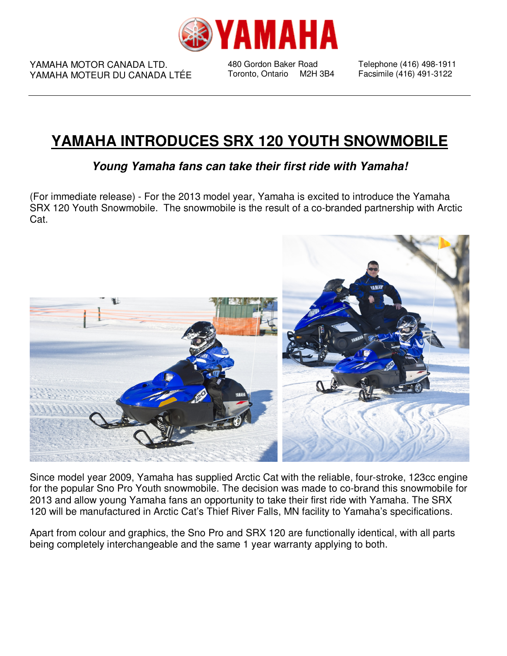

YAMAHA MOTOR CANADA LTD. YAMAHA MOTEUR DU CANADA LTÉE

480 Gordon Baker Road Toronto, Ontario M2H 3B4 Telephone (416) 498-1911 Facsimile (416) 491-3122

## **YAMAHA INTRODUCES SRX 120 YOUTH SNOWMOBILE**

**Young Yamaha fans can take their first ride with Yamaha!** 

(For immediate release) - For the 2013 model year, Yamaha is excited to introduce the Yamaha SRX 120 Youth Snowmobile. The snowmobile is the result of a co-branded partnership with Arctic Cat.



Since model year 2009, Yamaha has supplied Arctic Cat with the reliable, four-stroke, 123cc engine for the popular Sno Pro Youth snowmobile. The decision was made to co-brand this snowmobile for 2013 and allow young Yamaha fans an opportunity to take their first ride with Yamaha. The SRX 120 will be manufactured in Arctic Cat's Thief River Falls, MN facility to Yamaha's specifications.

Apart from colour and graphics, the Sno Pro and SRX 120 are functionally identical, with all parts being completely interchangeable and the same 1 year warranty applying to both.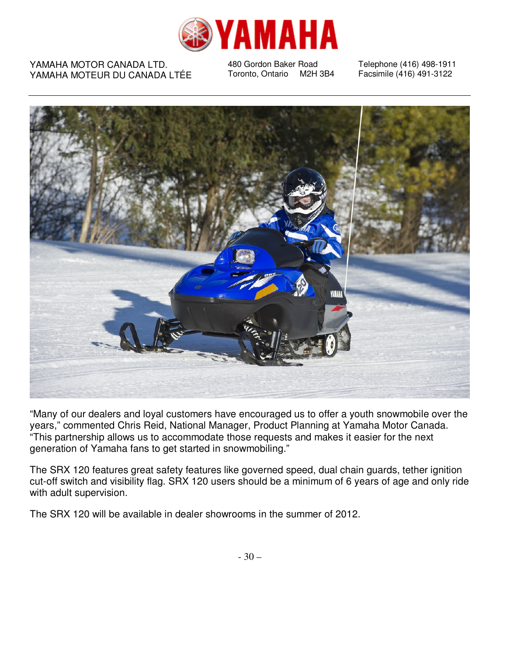

## YAMAHA MOTOR CANADA LTD. YAMAHA MOTEUR DU CANADA LTÉE

480 Gordon Baker Road Toronto, Ontario M2H 3B4 Telephone (416) 498-1911 Facsimile (416) 491-3122



"Many of our dealers and loyal customers have encouraged us to offer a youth snowmobile over the years," commented Chris Reid, National Manager, Product Planning at Yamaha Motor Canada. "This partnership allows us to accommodate those requests and makes it easier for the next generation of Yamaha fans to get started in snowmobiling."

The SRX 120 features great safety features like governed speed, dual chain guards, tether ignition cut-off switch and visibility flag. SRX 120 users should be a minimum of 6 years of age and only ride with adult supervision.

The SRX 120 will be available in dealer showrooms in the summer of 2012.